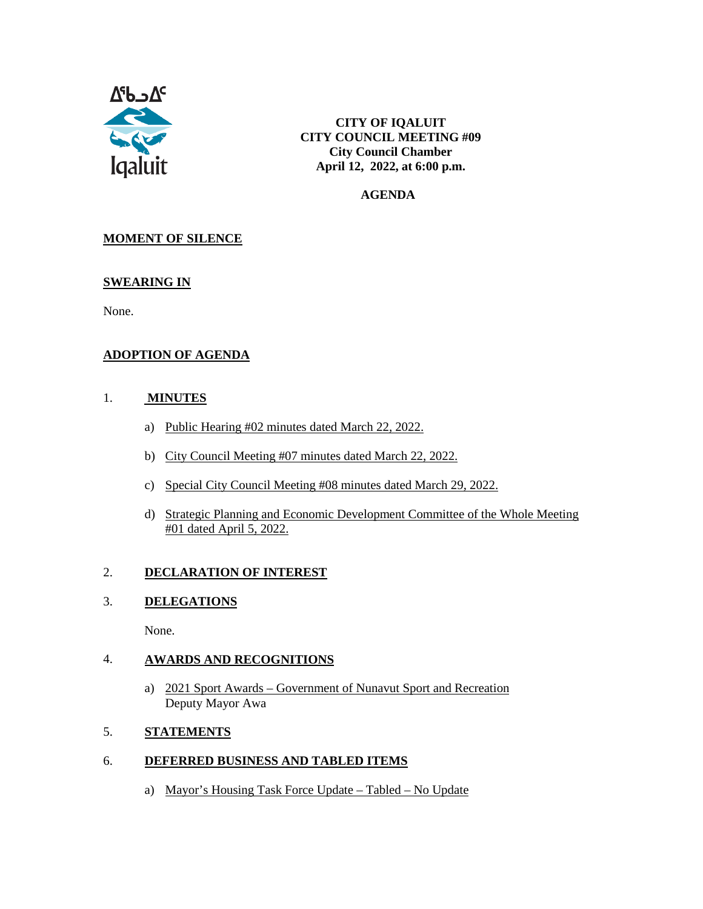

**CITY OF IQALUIT CITY COUNCIL MEETING #09 City Council Chamber April 12, 2022, at 6:00 p.m.**

 **AGENDA**

## **MOMENT OF SILENCE**

#### **SWEARING IN**

None.

## **ADOPTION OF AGENDA**

#### 1. **MINUTES**

- a) Public Hearing #02 minutes dated March 22, 2022.
- b) City Council Meeting #07 minutes dated March 22, 2022.
- c) Special City Council Meeting #08 minutes dated March 29, 2022.
- d) Strategic Planning and Economic Development Committee of the Whole Meeting #01 dated April 5, 2022.

#### 2. **DECLARATION OF INTEREST**

#### 3. **DELEGATIONS**

None.

### 4. **AWARDS AND RECOGNITIONS**

a) 2021 Sport Awards – Government of Nunavut Sport and Recreation Deputy Mayor Awa

### 5. **STATEMENTS**

### 6. **DEFERRED BUSINESS AND TABLED ITEMS**

a) Mayor's Housing Task Force Update – Tabled – No Update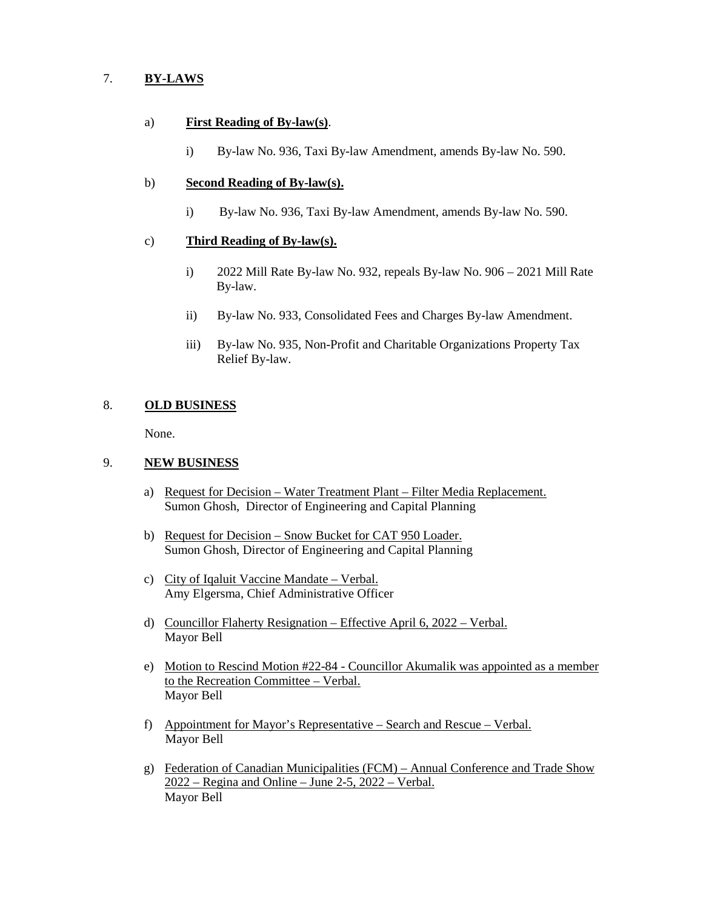### 7. **BY-LAWS**

#### a) **First Reading of By-law(s)**.

i) By-law No. 936, Taxi By-law Amendment, amends By-law No. 590.

#### b) **Second Reading of By-law(s).**

i) By-law No. 936, Taxi By-law Amendment, amends By-law No. 590.

#### c) **Third Reading of By-law(s).**

- i) 2022 Mill Rate By-law No. 932, repeals By-law No. 906 2021 Mill Rate By-law.
- ii) By-law No. 933, Consolidated Fees and Charges By-law Amendment.
- iii) By-law No. 935, Non-Profit and Charitable Organizations Property Tax Relief By-law.

### 8. **OLD BUSINESS**

None.

#### 9. **NEW BUSINESS**

- a) Request for Decision Water Treatment Plant Filter Media Replacement. Sumon Ghosh, Director of Engineering and Capital Planning
- b) Request for Decision Snow Bucket for CAT 950 Loader. Sumon Ghosh, Director of Engineering and Capital Planning
- c) City of Iqaluit Vaccine Mandate Verbal. Amy Elgersma, Chief Administrative Officer
- d) Councillor Flaherty Resignation Effective April 6, 2022 Verbal. Mayor Bell
- e) Motion to Rescind Motion #22-84 Councillor Akumalik was appointed as a member to the Recreation Committee – Verbal. Mayor Bell
- f) Appointment for Mayor's Representative Search and Rescue Verbal. Mayor Bell
- g) Federation of Canadian Municipalities (FCM) Annual Conference and Trade Show  $2022$  – Regina and Online – June 2-5, 2022 – Verbal. Mayor Bell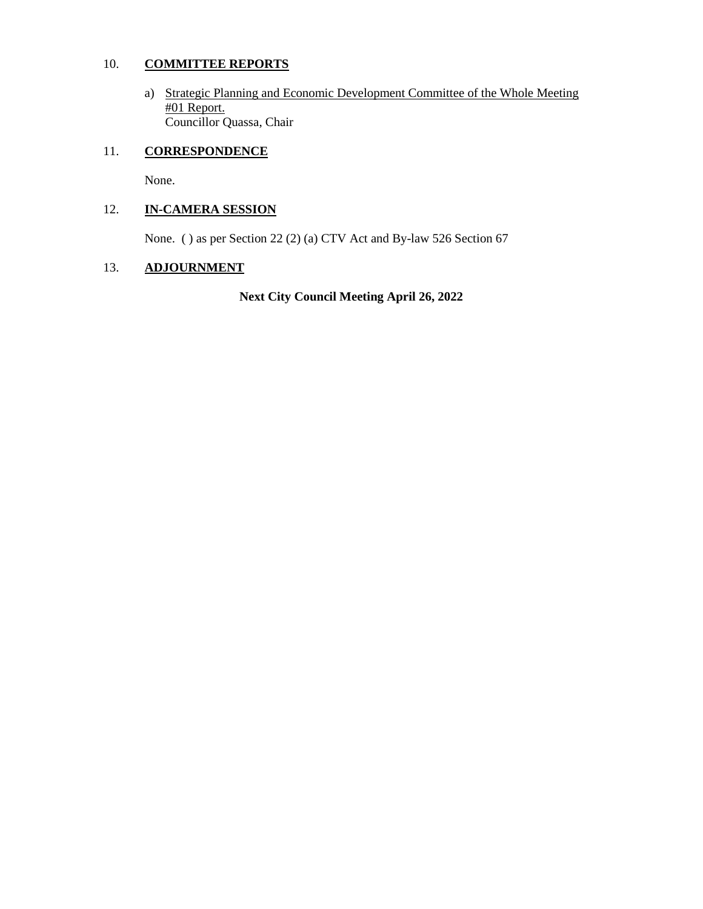### 10. **COMMITTEE REPORTS**

a) Strategic Planning and Economic Development Committee of the Whole Meeting #01 Report. Councillor Quassa, Chair

## 11. **CORRESPONDENCE**

None.

## 12. **IN-CAMERA SESSION**

None. ( ) as per Section 22 (2) (a) CTV Act and By-law 526 Section 67

### 13. **ADJOURNMENT**

**Next City Council Meeting April 26, 2022**